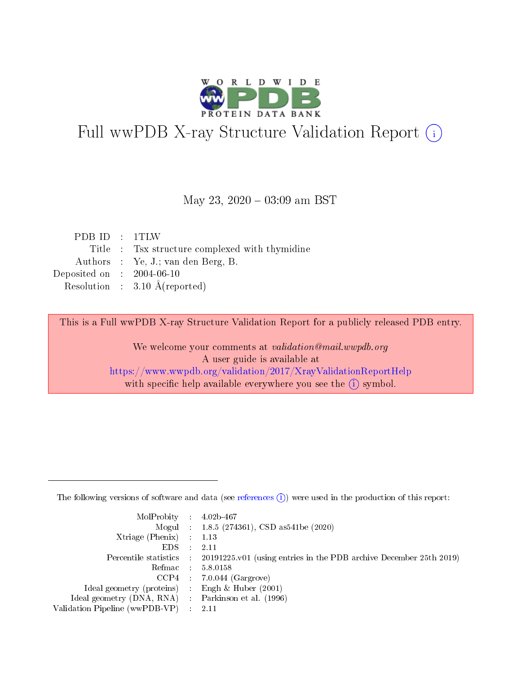

# Full wwPDB X-ray Structure Validation Report (i)

#### May 23,  $2020 - 03:09$  am BST

| PDB ID : 1TLW               |                                                |
|-----------------------------|------------------------------------------------|
|                             | Title : Tsx structure complexed with thymidine |
|                             | Authors : Ye, J.; van den Berg, B.             |
| Deposited on : $2004-06-10$ |                                                |
|                             | Resolution : $3.10 \text{ Å}$ (reported)       |

This is a Full wwPDB X-ray Structure Validation Report for a publicly released PDB entry.

We welcome your comments at validation@mail.wwpdb.org A user guide is available at <https://www.wwpdb.org/validation/2017/XrayValidationReportHelp> with specific help available everywhere you see the  $(i)$  symbol.

The following versions of software and data (see [references](https://www.wwpdb.org/validation/2017/XrayValidationReportHelp#references)  $(1)$ ) were used in the production of this report:

| $MolProbability$ : 4.02b-467                        |                                                                                            |
|-----------------------------------------------------|--------------------------------------------------------------------------------------------|
|                                                     | Mogul : $1.8.5$ (274361), CSD as 541be (2020)                                              |
| Xtriage (Phenix) $: 1.13$                           |                                                                                            |
| EDS                                                 | -2.11                                                                                      |
|                                                     | Percentile statistics : 20191225.v01 (using entries in the PDB archive December 25th 2019) |
| Refmac 58.0158                                      |                                                                                            |
|                                                     | $CCP4$ 7.0.044 (Gargrove)                                                                  |
| Ideal geometry (proteins) : Engh $\&$ Huber (2001)  |                                                                                            |
| Ideal geometry (DNA, RNA) : Parkinson et al. (1996) |                                                                                            |
| Validation Pipeline (wwPDB-VP) : 2.11               |                                                                                            |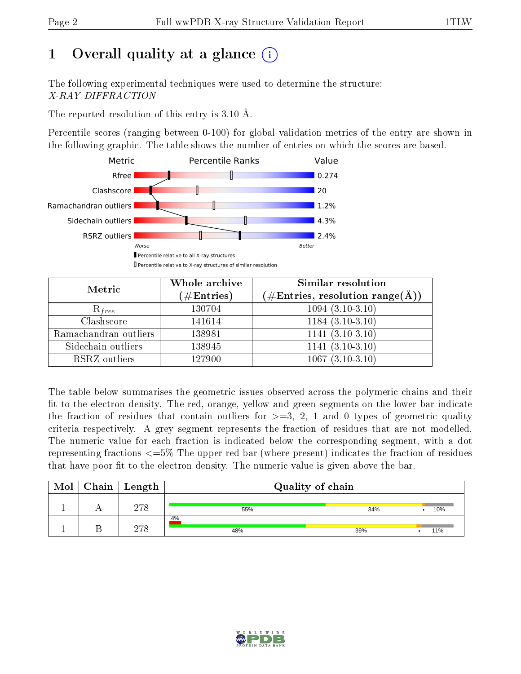# 1 [O](https://www.wwpdb.org/validation/2017/XrayValidationReportHelp#overall_quality)verall quality at a glance  $(i)$

The following experimental techniques were used to determine the structure: X-RAY DIFFRACTION

The reported resolution of this entry is 3.10 Å.

Percentile scores (ranging between 0-100) for global validation metrics of the entry are shown in the following graphic. The table shows the number of entries on which the scores are based.



| Metric                | Whole archive<br>$(\#\mathrm{Entries})$ | Similar resolution<br>$(\#\text{Entries},\, \text{resolution}\; \text{range}(\textup{\AA}))$ |  |  |
|-----------------------|-----------------------------------------|----------------------------------------------------------------------------------------------|--|--|
| $R_{free}$            | 130704                                  | $1094(3.10-3.10)$                                                                            |  |  |
| Clashscore            | 141614                                  | $1184(3.10-3.10)$                                                                            |  |  |
| Ramachandran outliers | 138981                                  | $1141 (3.10-3.10)$                                                                           |  |  |
| Sidechain outliers    | 138945                                  | $1141(3.10-3.10)$                                                                            |  |  |
| RSRZ outliers         | 127900                                  | $1067(3.10-3.10)$                                                                            |  |  |

The table below summarises the geometric issues observed across the polymeric chains and their fit to the electron density. The red, orange, yellow and green segments on the lower bar indicate the fraction of residues that contain outliers for  $>=3, 2, 1$  and 0 types of geometric quality criteria respectively. A grey segment represents the fraction of residues that are not modelled. The numeric value for each fraction is indicated below the corresponding segment, with a dot representing fractions  $\epsilon=5\%$  The upper red bar (where present) indicates the fraction of residues that have poor fit to the electron density. The numeric value is given above the bar.

| Mol | Chain   Length | Quality of chain |     |     |  |  |  |
|-----|----------------|------------------|-----|-----|--|--|--|
|     | 278            | 55%              | 34% | 10% |  |  |  |
|     | 978            | 4%<br>48%        | 39% | 11% |  |  |  |

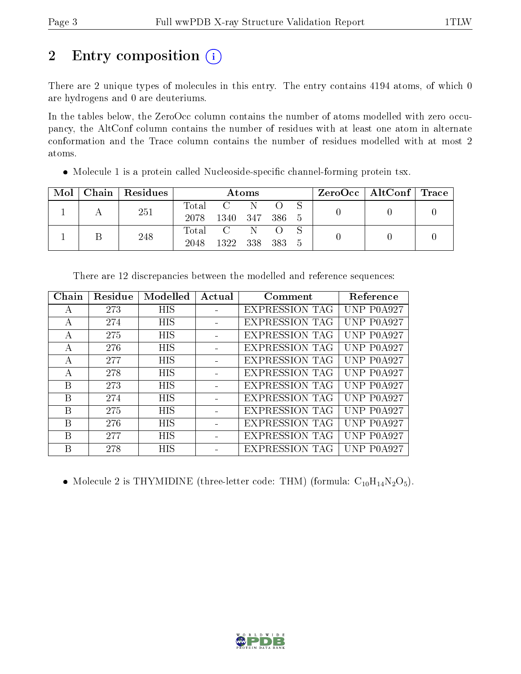# 2 Entry composition (i)

There are 2 unique types of molecules in this entry. The entry contains 4194 atoms, of which 0 are hydrogens and 0 are deuteriums.

In the tables below, the ZeroOcc column contains the number of atoms modelled with zero occupancy, the AltConf column contains the number of residues with at least one atom in alternate conformation and the Trace column contains the number of residues modelled with at most 2 atoms.

| • Molecule 1 is a protein called Nucleoside-specific channel-forming protein tsx. |  |
|-----------------------------------------------------------------------------------|--|
|                                                                                   |  |

| Mol | Chain Residues | Atoms     |                |  |  |     | $\text{ZeroOcc} \mid \text{AltConf} \mid \text{Trace}$ |  |  |
|-----|----------------|-----------|----------------|--|--|-----|--------------------------------------------------------|--|--|
|     | 251            | Total C N |                |  |  |     |                                                        |  |  |
|     |                | 2078      | 1340 347 386 5 |  |  |     |                                                        |  |  |
|     | 248            |           | Total C        |  |  |     |                                                        |  |  |
|     |                | 2048      | 1322 338 383   |  |  | - 5 |                                                        |  |  |

| Chain | Residue | Modelled   | Actual | Comment               | Reference  |
|-------|---------|------------|--------|-----------------------|------------|
| А     | 273     | <b>HIS</b> |        | <b>EXPRESSION TAG</b> | UNP P0A927 |
| А     | 274     | <b>HIS</b> |        | <b>EXPRESSION TAG</b> | UNP P0A927 |
| А     | 275     | <b>HIS</b> |        | <b>EXPRESSION TAG</b> | UNP P0A927 |
| А     | 276     | <b>HIS</b> |        | <b>EXPRESSION TAG</b> | UNP P0A927 |
| А     | 277     | <b>HIS</b> |        | <b>EXPRESSION TAG</b> | UNP P0A927 |
| А     | 278     | <b>HIS</b> |        | <b>EXPRESSION TAG</b> | UNP P0A927 |
| В     | 273     | <b>HIS</b> |        | <b>EXPRESSION TAG</b> | UNP P0A927 |
| B     | 274     | <b>HIS</b> |        | <b>EXPRESSION TAG</b> | UNP P0A927 |
| B     | 275     | <b>HIS</b> |        | <b>EXPRESSION TAG</b> | UNP P0A927 |
| B     | 276     | <b>HIS</b> |        | <b>EXPRESSION TAG</b> | UNP P0A927 |
| В     | 277     | <b>HIS</b> |        | <b>EXPRESSION TAG</b> | UNP P0A927 |
| В     | 278     | HIS        |        | <b>EXPRESSION TAG</b> | UNP P0A927 |

There are 12 discrepancies between the modelled and reference sequences:

• Molecule 2 is THYMIDINE (three-letter code: THM) (formula:  $C_{10}H_{14}N_2O_5$ ).

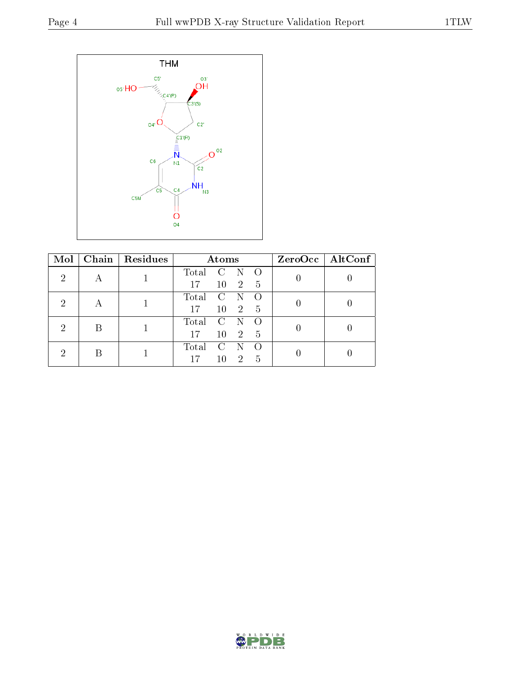

| Mol | Chain   Residues | Atoms |               |                |                  | ZeroOcc   AltConf |  |
|-----|------------------|-------|---------------|----------------|------------------|-------------------|--|
| 2   |                  | Total | $\mathcal{C}$ |                | $\bigcap$        |                   |  |
|     |                  | 17    | 10            | $\overline{2}$ | 5                |                   |  |
| റ   |                  | Total | $\mathcal{C}$ |                | $\left($         |                   |  |
|     |                  | 17    | 10            | $\overline{2}$ | 5                |                   |  |
| റ   |                  | Total | $\mathcal{C}$ |                | $\left( \right)$ |                   |  |
|     |                  | 17    | 10            | $\overline{2}$ | 5                |                   |  |
|     |                  | Total | $\mathcal{C}$ |                | $\left($         |                   |  |
|     |                  | 17    | 10            | 2              | 5                |                   |  |

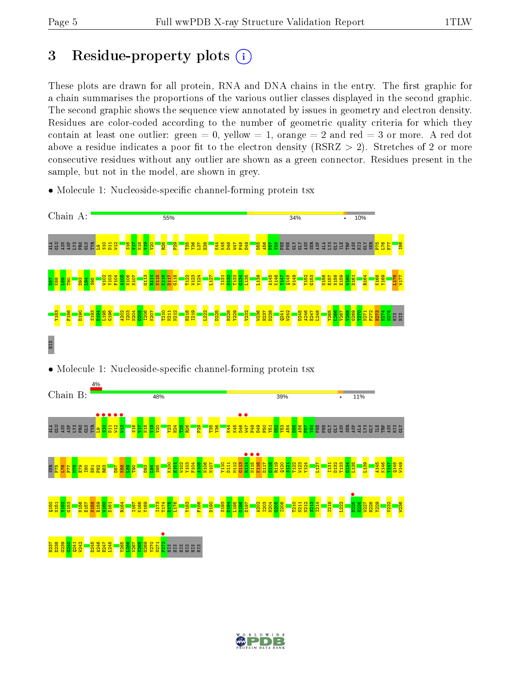# 3 Residue-property plots  $(i)$

These plots are drawn for all protein, RNA and DNA chains in the entry. The first graphic for a chain summarises the proportions of the various outlier classes displayed in the second graphic. The second graphic shows the sequence view annotated by issues in geometry and electron density. Residues are color-coded according to the number of geometric quality criteria for which they contain at least one outlier: green  $= 0$ , yellow  $= 1$ , orange  $= 2$  and red  $= 3$  or more. A red dot above a residue indicates a poor fit to the electron density (RSRZ  $> 2$ ). Stretches of 2 or more consecutive residues without any outlier are shown as a green connector. Residues present in the sample, but not in the model, are shown in grey.



• Molecule 1: Nucleoside-specific channel-forming protein tsx

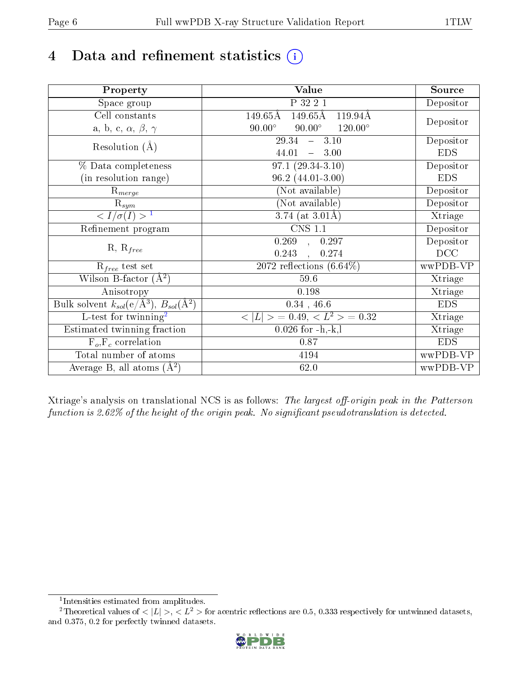# 4 Data and refinement statistics  $(i)$

| Property                                                             | Value                                              | Source     |
|----------------------------------------------------------------------|----------------------------------------------------|------------|
| Space group                                                          | P 32 2 1                                           | Depositor  |
| Cell constants                                                       | 149.65Å<br>$149.65\text{\AA}$<br>119.94Å           |            |
| a, b, c, $\alpha$ , $\beta$ , $\gamma$                               | $90.00^\circ$<br>$90.00^\circ$<br>$120.00^{\circ}$ | Depositor  |
| Resolution $(A)$                                                     | $29.34 - 3.10$                                     | Depositor  |
|                                                                      | 44.01<br>$-3.00$                                   | <b>EDS</b> |
| % Data completeness                                                  | $97.1(29.34-3.10)$                                 | Depositor  |
| (in resolution range)                                                | $96.2(44.01-3.00)$                                 | <b>EDS</b> |
| $R_{merge}$                                                          | (Not available)                                    | Depositor  |
| $\mathrm{R}_{sym}$                                                   | (Not available)                                    | Depositor  |
| $\sqrt{I/\sigma}(I) > 1$                                             | 3.74 (at $3.01\text{\AA}$ )                        | Xtriage    |
| Refinement program                                                   | CNS 1.1                                            | Depositor  |
|                                                                      | $\overline{0.269}$ ,<br>0.297                      | Depositor  |
| $R, R_{free}$                                                        | 0.243<br>0.274                                     | DCC        |
| $R_{free}$ test set                                                  | 2072 reflections $(6.64\%)$                        | wwPDB-VP   |
| Wilson B-factor $(A^2)$                                              | 59.6                                               | Xtriage    |
| Anisotropy                                                           | 0.198                                              | Xtriage    |
| Bulk solvent $k_{sol}(e/\mathring{A}^3)$ , $B_{sol}(\mathring{A}^2)$ | $0.34$ , 46.6                                      | <b>EDS</b> |
| L-test for twinning <sup>2</sup>                                     | $< L >$ = 0.49, $< L^2 >$ = 0.32                   | Xtriage    |
| Estimated twinning fraction                                          | $0.026$ for $-h,-k,l$                              | Xtriage    |
| $F_o, F_c$ correlation                                               | 0.87                                               | <b>EDS</b> |
| Total number of atoms                                                | 4194                                               | wwPDB-VP   |
| Average B, all atoms $(A^2)$                                         | 62.0                                               | wwPDB-VP   |

Xtriage's analysis on translational NCS is as follows: The largest off-origin peak in the Patterson function is 2.62% of the height of the origin peak. No significant pseudotranslation is detected.

<sup>&</sup>lt;sup>2</sup>Theoretical values of  $\langle |L| \rangle$ ,  $\langle L^2 \rangle$  for acentric reflections are 0.5, 0.333 respectively for untwinned datasets, and 0.375, 0.2 for perfectly twinned datasets.



<span id="page-5-1"></span><span id="page-5-0"></span><sup>1</sup> Intensities estimated from amplitudes.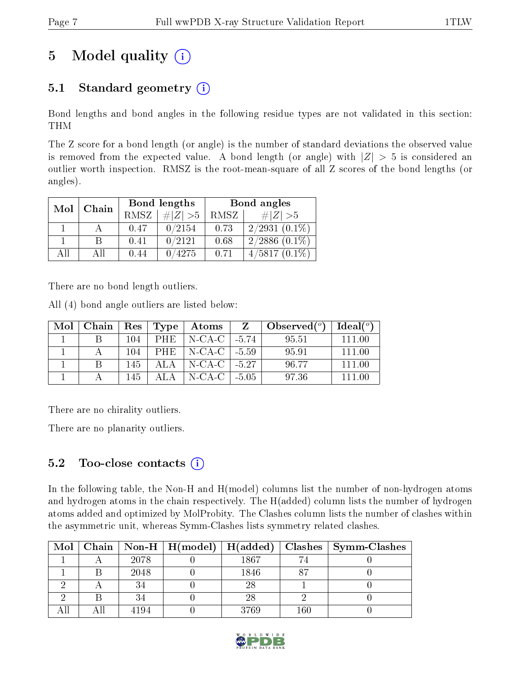# 5 Model quality  $(i)$

## 5.1 Standard geometry  $(i)$

Bond lengths and bond angles in the following residue types are not validated in this section: THM

The Z score for a bond length (or angle) is the number of standard deviations the observed value is removed from the expected value. A bond length (or angle) with  $|Z| > 5$  is considered an outlier worth inspection. RMSZ is the root-mean-square of all Z scores of the bond lengths (or angles).

| Mol | Chain |             | Bond lengths | Bond angles |                    |  |
|-----|-------|-------------|--------------|-------------|--------------------|--|
|     |       | <b>RMSZ</b> | $\ Z\  > 5$  | RMSZ        | # $ Z  > 5$        |  |
|     |       | 0.47        | 0/2154       | 0.73        | $2/2931(0.1\%)$    |  |
|     |       | 0.41        | 0/2121       | 0.68        | $2/2886$ $(0.1\%)$ |  |
| AĦ  | АH    | 0.44        | 0/4275       | 0.71        | $4/5817(0.1\%)$    |  |

There are no bond length outliers.

All (4) bond angle outliers are listed below:

| Mol | Chain | $\operatorname{Res}$ | Type | Atoms              |         | Observed $(°)$ | Ideal <sup>(o)</sup> |
|-----|-------|----------------------|------|--------------------|---------|----------------|----------------------|
|     |       | 104                  | PHE  | $N-CA-C$   -5.74   |         | 95.51          | 111 00               |
|     |       | 104                  | PHE  | N-CA-C   -5.59     |         | 95.91          | 111 00               |
|     |       | 145                  | ALA. | $N-CA-C$   $-5.27$ |         | 96.77          | 111 00               |
|     |       | 145                  |      | N-CA-C             | $-5.05$ | 97.36          | 111 NO               |

There are no chirality outliers.

There are no planarity outliers.

### 5.2 Too-close contacts  $(i)$

In the following table, the Non-H and H(model) columns list the number of non-hydrogen atoms and hydrogen atoms in the chain respectively. The H(added) column lists the number of hydrogen atoms added and optimized by MolProbity. The Clashes column lists the number of clashes within the asymmetric unit, whereas Symm-Clashes lists symmetry related clashes.

| Mol |      |      |     | Chain   Non-H   H(model)   H(added)   Clashes   Symm-Clashes |
|-----|------|------|-----|--------------------------------------------------------------|
|     | 2078 | 1867 |     |                                                              |
|     | 2048 | 1846 |     |                                                              |
|     |      | 28   |     |                                                              |
|     |      | 28   |     |                                                              |
|     | 4194 | 3769 | 160 |                                                              |

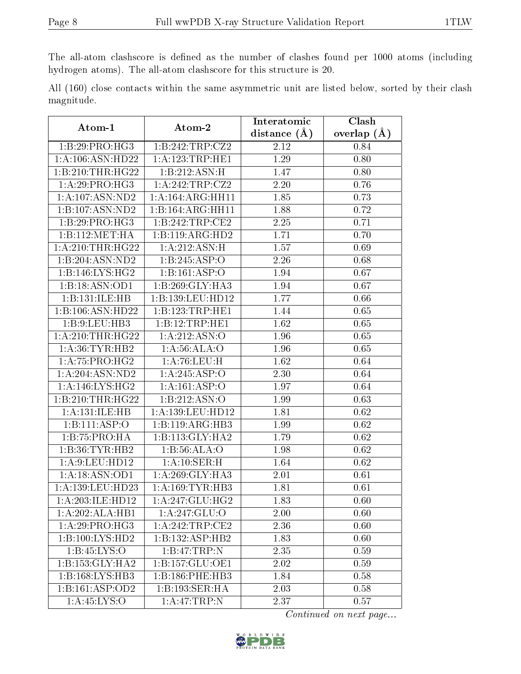The all-atom clashscore is defined as the number of clashes found per 1000 atoms (including hydrogen atoms). The all-atom clashscore for this structure is 20.

All (160) close contacts within the same asymmetric unit are listed below, sorted by their clash magnitude.

| Atom-1              | $\boldsymbol{\mathrm{Atom}\text{-}2}$ | Interatomic       | Clash             |  |
|---------------------|---------------------------------------|-------------------|-------------------|--|
|                     |                                       | distance $(A)$    | overlap $(\AA)$   |  |
| 1:B:29:PRO:HG3      | 1:B:242:TRP:CZ2                       | 2.12              | 0.84              |  |
| 1:A:106:ASN:HD22    | 1: A: 123: TRP: HE1                   | 1.29              | 0.80              |  |
| 1:B:210:THR:HG22    | 1:B:212:ASN:H                         | 1.47              | 0.80              |  |
| 1:A:29:PRO:HG3      | 1:A:242:TRP:CZ2                       | 2.20              | 0.76              |  |
| 1: A: 107: ASN: ND2 | 1:A:164:ARG:HH11                      | 1.85              | 0.73              |  |
| 1:B:107:ASN:ND2     | 1:B:164:ARG:HH11                      | 1.88              | 0.72              |  |
| 1:B:29:PRO:HG3      | 1:B:242:TRP:CE2                       | 2.25              | 0.71              |  |
| 1:B:112:MET:HA      | 1:B:119:ARG:HD2                       | 1.71              | 0.70              |  |
| 1: A:210:THR:HG22   | 1: A:212: ASN:H                       | 1.57              | 0.69              |  |
| 1:B:204:ASN:ND2     | 1:B:245:ASP:O                         | 2.26              | 0.68              |  |
| 1:B:146:LYS:HG2     | 1:B:161:ASP:O                         | 1.94              | 0.67              |  |
| 1:B:18:ASN:OD1      | $1:B:269:$ GLY:HA3                    | 1.94              | 0.67              |  |
| 1:B:131:ILE:HB      | 1:B:139:LEU:HD12                      | 1.77              | 0.66              |  |
| 1:B:106:ASN:HD22    | 1:B:123:TRP:HE1                       | 1.44              | 0.65              |  |
| 1:B:9:LEU:HB3       | 1:B:12:TRP:HE1                        | 1.62              | 0.65              |  |
| 1: A:210:THR:HG22   | 1:A:212:ASN:O                         | 1.96              | 0.65              |  |
| 1: A:36:TYR:HB2     | 1: A:56: ALA:O                        | 1.96              | 0.65              |  |
| 1:A:75:PRO:HG2      | 1: A:76: LEU:H                        | 1.62              | 0.64              |  |
| 1:A:204:ASN:ND2     | 1:A:245:ASP:O                         | 2.30              | 0.64              |  |
| 1: A:146: LYS: HG2  | $1:\overline{A:161:ASP:O}$            | 1.97              | 0.64              |  |
| 1:B:210:THR:HG22    | 1: B: 212: ASN:O                      | 1.99              | 0.63              |  |
| 1:A:131:ILE:HB      | $1:A:139:L\overline{EU:HD12}$         | 1.81              | 0.62              |  |
| 1:B:111:ASP:O       | 1:B:119:ARG:HB3                       | 1.99              | 0.62              |  |
| 1:B:75:PRO:HA       | 1:B:113:GLY:HA2                       | 1.79              | 0.62              |  |
| 1:B:36:TYR:HB2      | 1:B:56:ALA:O                          | 1.98              | 0.62              |  |
| 1:A:9:LEU:HD12      | 1:A:10:SER:H                          | 1.64              | 0.62              |  |
| 1:A:18:ASN:OD1      | 1:A:269:GLY:HA3                       | 2.01              | $\overline{0.61}$ |  |
| 1:A:139:LEU:HD23    | 1: A: 169: TYR: HB3                   | 1.81              | 0.61              |  |
| 1: A:203: ILE: HD12 | 1: A:247:GLU:HG2                      | $\overline{1.83}$ | 0.60              |  |
| 1:A:202:ALA:HB1     | 1:A:247:GLU:O                         | 2.00              | 0.60              |  |
| 1:A:29:PRO:HG3      | 1:A:242:TRP:CE2                       | 2.36              | 0.60              |  |
| 1:B:100:LYS:HD2     | 1:B:132:ASP:HB2                       | 1.83              | 0.60              |  |
| 1: B: 45: LYS: O    | 1:B:47:TRP:N                          | 2.35              | 0.59              |  |
| 1:B:153:GLY:HA2     | $1:B:157:\overline{GLU:OE1}$          | 2.02              | 0.59              |  |
| 1:B:168:LYS:HB3     | 1:B:186:PHE:HB3                       | 1.84              | 0.58              |  |
| 1:B:161:ASP:OD2     | 1:B:193:SER:HA                        | 2.03              | 0.58              |  |
| 1: A:45: LYS:O      | 1:A:47:TRP:N                          | 2.37              | 0.57              |  |

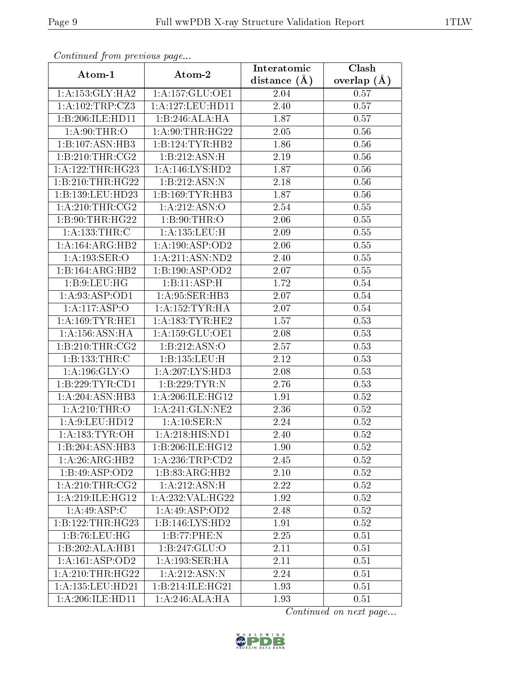| Commaca from previous page |                     | Interatomic       | Clash         |
|----------------------------|---------------------|-------------------|---------------|
| Atom-1                     | Atom-2              | distance $(A)$    | overlap $(A)$ |
| 1: A: 153: GLY: HA2        | 1:A:157:GLU:OE1     | 2.04              | 0.57          |
| 1:A:102:TRP:CZ3            | 1:A:127:LEU:HD11    | 2.40              | 0.57          |
| 1:B:206:ILE:HD11           | 1:B:246:ALA:HA      | 1.87              | 0.57          |
| 1: A:90:THR:O              | 1: A:90:THR:HG22    | 2.05              | 0.56          |
| 1:B:107:ASN:HB3            | 1:B:124:TYR:HB2     | 1.86              | 0.56          |
| 1:B:210:THR:CG2            | 1:B:212:ASN:H       | 2.19              | 0.56          |
| 1:A:122:THR:HG23           | 1: A:146: LYS: HD2  | 1.87              | 0.56          |
| 1:B:210:THR:HG22           | 1:B:212:ASN:N       | 2.18              | 0.56          |
| 1:B:139:LEU:HD23           | 1:B:169:TYR:HB3     | 1.87              | 0.56          |
| 1: A:210:THR:CG2           | 1:A:212:ASN:O       | 2.54              | 0.55          |
| 1:B:90:THR:HG22            | 1: B:90:THR:O       | 2.06              | 0.55          |
| 1: A: 133: THR: C          | 1:A:135:LEU:H       | 2.09              | 0.55          |
| 1: A:164:ARG:HB2           | 1:A:190:ASP:OD2     | 2.06              | 0.55          |
| 1:A:193:SER:O              | 1:A:211:ASN:ND2     | 2.40              | 0.55          |
| 1:B:164:ARG:HB2            | 1:B:190:ASP:OD2     | 2.07              | 0.55          |
| 1:B:9:LEU:HG               | 1:B:11:ASP:H        | 1.72              | 0.54          |
| 1:A:93:ASP:OD1             | 1:A:95:SER:HB3      | 2.07              | $0.54\,$      |
| 1:A:117:ASP:O              | 1: A: 152: TYR: HA  | 2.07              | 0.54          |
| 1: A: 169: TYR: HE1        | 1: A: 183: TYR: HE2 | 1.57              | 0.53          |
| 1: A: 156: ASN: HA         | 1: A: 159: GLU: OE1 | 2.08              | 0.53          |
| 1: B:210:THR:CG2           | 1:B:212:ASN:O       | 2.57              | 0.53          |
| 1:B:133:THR:C              | 1:B:135:LEU:H       | 2.12              | 0.53          |
| 1:A:196:GLY:O              | 1:A:207:LYS:HD3     | 2.08              | 0.53          |
| 1:B:229:TYR:CD1            | 1:B:229:TYR:N       | 2.76              | 0.53          |
| 1:A:204:ASN:HB3            | 1:A:206:ILE:HG12    | 1.91              | 0.52          |
| 1: A:210:THR:O             | 1:A:241:GLN:NE2     | $\overline{2}.36$ | 0.52          |
| 1:A:9:LEU:HD12             | 1:A:10:SER:N        | 2.24              | 0.52          |
| 1: A:183: TYR:OH           | 1:A:218:HIS:ND1     | 2.40              | 0.52          |
| 1:B:204:ASN:HB3            | 1:B:206:ILE:HG12    | 1.90              | 0.52          |
| 1:A:26:ARG:HB2             | 1:A:236:TRP:CD2     | 2.45              | 0.52          |
| 1:B:49:ASP:OD2             | 1:B:83:ARG:HB2      | 2.10              | 0.52          |
| 1: A:210:THR:CG2           | 1: A:212: ASN:H     | 2.22              | 0.52          |
| 1: A:219: ILE: HG12        | 1: A:232:VAL:HG22   | 1.92              | 0.52          |
| 1:A:49:ASP:C               | 1:A:49:ASP:OD2      | 2.48              | 0.52          |
| 1:B:122:THR:HG23           | 1:B:146:LYS:HD2     | 1.91              | 0.52          |
| 1:B:76:LEU:HG              | 1:B:77:PHE:N        | 2.25              | 0.51          |
| 1:B:202:ALA:HB1            | 1:B:247:GLU:O       | 2.11              | 0.51          |
| 1:A:161:ASP:OD2            | 1: A: 193: SER: HA  | 2.11              | 0.51          |
| 1: A:210:THR:HG22          | 1: A:212: ASN:N     | 2.24              | 0.51          |
| 1:A:135:LEU:HD21           | 1:B:214:ILE:HG21    | 1.93              | 0.51          |
| 1:A:206:ILE:HD11           | 1:A:246:ALA:HA      | 1.93              | 0.51          |

Continued from previous page.

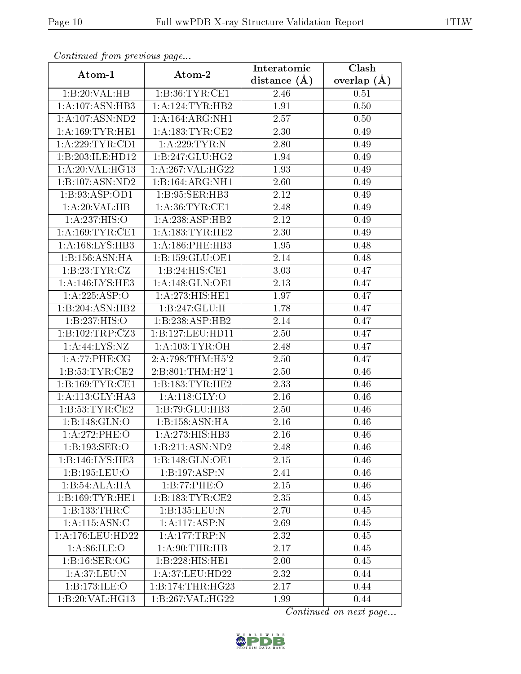| Continuea from previous page |                              | Interatomic    | Clash         |  |
|------------------------------|------------------------------|----------------|---------------|--|
| Atom-1                       | Atom-2                       | distance $(A)$ | overlap $(A)$ |  |
| 1:B:20:VAL:HB                | 1: B:36: TYR:CE1             | 2.46           | 0.51          |  |
| 1:A:107:ASN:HB3              | 1: A:124:TYR:HB2             | 1.91           | 0.50          |  |
| 1: A: 107: ASN: ND2          | 1:A:164:ARG:NH1              | 2.57           | 0.50          |  |
| 1: A: 169: TYR: HE1          | 1: A: 183: TYR: CE2          | 2.30           | 0.49          |  |
| 1: A:229:TYR:CD1             | 1:A:229:TYR:N                | 2.80           | 0.49          |  |
| 1:B:203:ILE:HD12             | 1:B:247:GLU:HG2              | 1.94           | 0.49          |  |
| 1:A:20:VAL:HG13              | 1:A:267:VAL:HG22             | 1.93           | 0.49          |  |
| 1:B:107:ASN:ND2              | 1:B:164:ARG:NH1              | 2.60           | 0.49          |  |
| 1:B:93:ASP:OD1               | 1:B:95:SER:HB3               | 2.12           | 0.49          |  |
| 1: A:20: VAL:HB              | 1: A:36: TYR: CE1            | 2.48           | 0.49          |  |
| 1:A:237:HIS:O                | 1:A:238:ASP:HB2              | 2.12           | 0.49          |  |
| 1: A:169:TYR:CE1             | 1: A: 183: TYR: HE2          | 2.30           | 0.49          |  |
| 1: A: 168: LYS: HB3          | 1:A:186:PHE:HB3              | 1.95           | 0.48          |  |
| 1:B:156:ASN:HA               | 1:B:159:GLU:OE1              | 2.14           | 0.48          |  |
| 1:B:23:TYR:CZ                | 1:B:24:HIS:CE1               | 3.03           | 0.47          |  |
| 1: A:146: LYS: HE3           | 1: A:148: GLN:OE1            | 2.13           | 0.47          |  |
| 1:A:225:ASP:O                | 1:A:273:HIS:HE1              | 1.97           | 0.47          |  |
| 1:B:204:ASN:HB2              | 1:B:247:GLU:H                | 1.78           | 0.47          |  |
| 1:B:237:HIS:O                | $1:B:\overline{238:ASP:HB2}$ | 2.14           | 0.47          |  |
| 1:B:102:TRP:CZ3              | 1:B:127:LEU:HD11             | 2.50           | 0.47          |  |
| $1:$ A:44:LYS:NZ             | 1: A: 103: TYR: OH           | 2.48           | 0.47          |  |
| 1: A:77:PHE:CG               | 2:A:798:THM:H5'2             | 2.50           | 0.47          |  |
| 1:B:53:TYR:CE2               | 2:B:801:THM:H2'1             | 2.50           | 0.46          |  |
| 1: B: 169: TYR: CE1          | 1:B:183:TYR:HE2              | 2.33           | 0.46          |  |
| 1: A:113: GLY:HA3            | 1: A:118: GLY:O              | 2.16           | 0.46          |  |
| 1:B:53:TYR:CE2               | 1:B:79:GLU:HB3               | 2.50           | 0.46          |  |
| 1:B:148:GLN:O                | 1:B:158:ASN:HA               | $2.16\,$       | 0.46          |  |
| 1:A:272:PHE:O                | 1:A:273:HIS:HB3              | 2.16           | 0.46          |  |
| 1:B:193:SER:O                | 1:B:211:ASN:ND2              | 2.48           | 0.46          |  |
| 1:B:146:LYS:HE3              | $1:B:148:GLN:$ OE1           | 2.15           | 0.46          |  |
| 1:B:195:LEU:O                | 1:B:197:ASP:N                | 2.41           | 0.46          |  |
| 1:B:54:ALA:HA                | 1:B:77:PHE:O                 | 2.15           | 0.46          |  |
| 1:B:169:TYR:HE1              | 1: B: 183: TYR: CE2          | 2.35           | 0.45          |  |
| 1:B:133:THR:C                | 1:B:135:LEU:N                | 2.70           | 0.45          |  |
| 1: A: 115: ASN: C            | 1:A:117:ASP:N                | 2.69           | 0.45          |  |
| 1: A:176:LEU:HD22            | 1:A:177:TRP:N                | 2.32           | 0.45          |  |
| 1: A:86: ILE: O              | 1: A:90:THR:HB               | 2.17           | 0.45          |  |
| 1:B:16:SER:OG                | 1:B:228:HIS:HE1              | 2.00           | 0.45          |  |
| 1:A:37:LEU:N                 | 1:A:37:LEU:HD22              | 2.32           | 0.44          |  |
| 1:B:173:ILE:O                | 1:B:174:THR:HG23             | 2.17           | 0.44          |  |
| 1:B:20:VAL:HG13              | 1:B:267:VAL:HG22             | 1.99           | 0.44          |  |

Continued from previous page.

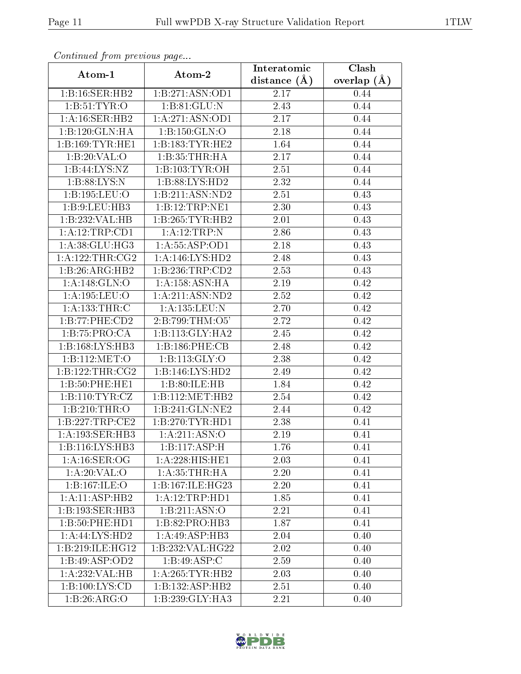| Continuea from previous page  |                              | Interatomic    | Clash         |
|-------------------------------|------------------------------|----------------|---------------|
| Atom-1                        | Atom-2                       | distance $(A)$ | overlap $(A)$ |
| 1:B:16:SER:HB2                | 1:B:271:ASN:OD1              | 2.17           | 0.44          |
| 1: B: 51: TYR: O              | 1:B:81:GLU:N                 | 2.43           | 0.44          |
| 1:A:16:SER:HB2                | 1: A:271: ASN:OD1            | 2.17           | 0.44          |
| 1:B:120:GLN:HA                | 1:B:150:GLN:O                | 2.18           | 0.44          |
| 1:B:169:TYR:HE1               | 1: B: 183: TYR: HE2          | 1.64           | 0.44          |
| 1:B:20:VAL:O                  | 1:B:35:THR:HA                | 2.17           | 0.44          |
| 1: B:44: LYS: NZ              | 1:B:103:TYR:OH               | 2.51           | 0.44          |
| 1:B:88:LYS:N                  | 1: B:88: LYS: HD2            | 2.32           | 0.44          |
| 1:B:195:LEU:O                 | 1:B:211:ASN:ND2              | 2.51           | 0.43          |
| 1:B:9:LEU:HB3                 | 1:B:12:TRP:NE1               | 2.30           | 0.43          |
| 1:B:232:VAL:HB                | 1:B:265:TYR:HB2              | 2.01           | 0.43          |
| 1: A: 12: TRP: CD1            | 1:A:12:TRP:N                 | 2.86           | 0.43          |
| $1: A:38: \overline{GLU:HG3}$ | 1: A: 55: ASP: OD1           | 2.18           | 0.43          |
| 1: A: 122: THR: CG2           | 1: A:146: LYS: HD2           | 2.48           | 0.43          |
| 1:B:26:ARG:HB2                | 1:B:236:TRP:CD2              | 2.53           | 0.43          |
| 1:A:148:GLN:O                 | 1:A:158:ASN:HA               | 2.19           | 0.42          |
| 1:A:195:LEU:O                 | 1:A:211:ASN:ND2              | 2.52           | 0.42          |
| 1: A: 133: THR: C             | 1:A:135:LEU:N                | 2.70           | 0.42          |
| 1:B:77:PHE:CD2                | 2:B:799:THM:O5'              | 2.72           | 0.42          |
| 1:B:75:PRO:CA                 | 1:B:113:GLY:HA2              | 2.45           | 0.42          |
| 1:B:168:LYS:HB3               | 1:B:186:PHE:CB               | 2.48           | 0.42          |
| 1:B:112:MET:O                 | 1: B: 113: GLY: O            | 2.38           | 0.42          |
| 1:B:122:THR:CG2               | 1:B:146:LYS:HD2              | 2.49           | 0.42          |
| 1:B:50:PHE:HE1                | 1:B:80:ILE:HB                | 1.84           | 0.42          |
| 1:B:110:TYR:CZ                | 1:B:112:MET:HB2              | 2.54           | 0.42          |
| 1:B:210:THR:O                 | 1:B:241:GLN:NE2              | 2.44           | 0.42          |
| 1:B:227:TRP:CE2               | 1: B:270: TYR: HD1           | 2.38           | 0.41          |
| 1:A:193:SER:HB3               | 1: A:211: ASN:O              | 2.19           | 0.41          |
| 1:B:116:LYS:HB3               | 1:B:117:ASP:H                | 1.76           | 0.41          |
| 1: A:16: SER:OG               | 1:A:228:HIS:HE1              | 2.03           | 0.41          |
| 1:A:20:VAL:O                  | 1: A:35:THR:HA               | 2.20           | 0.41          |
| 1:B:167:ILE:O                 | 1:B:167:ILE:HG23             | 2.20           | 0.41          |
| 1:A:11:ASP:HB2                | 1: A: 12: TRP: HDI           | 1.85           | 0.41          |
| 1:B:193:SER:HB3               | 1: B: 211: ASN:O             | 2.21           | 0.41          |
| 1:B:50:PHE:HD1                | 1:B:82:PRO:HB3               | 1.87           | 0.41          |
| $1: \overline{A:44:LYS:HD2}$  | 1:A:49:ASP:HB3               | 2.04           | 0.40          |
| 1:B:219:ILE:HG12              | 1:B:232:VAL:HG22             | 2.02           | 0.40          |
| 1:B:49:ASP:OD2                | $1:B:49:\overline{ASP:C}$    | 2.59           | 0.40          |
| 1:A:232:VAL:HB                | 1: A:265:TYR:HB2             | 2.03           | 0.40          |
| 1:B:100:LYS:CD                | 1:B:132:ASP:HB2              | 2.51           | 0.40          |
| 1:B:26:ARG:O                  | $1:B:239:GLY:H\overline{A3}$ | 2.21           | 0.40          |

Continued from previous page.

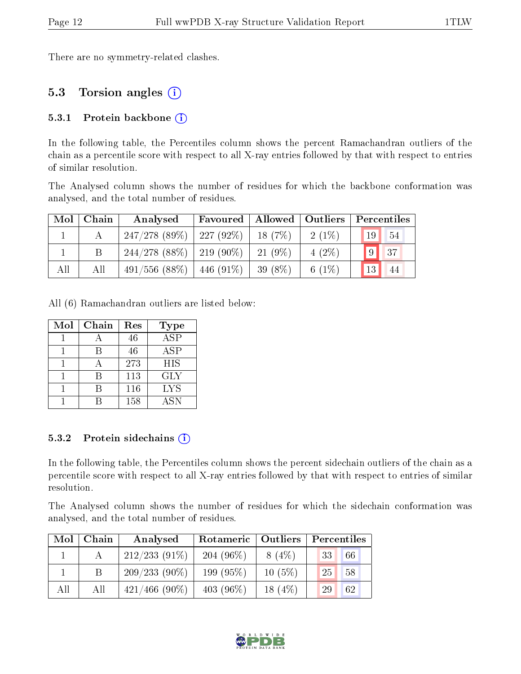There are no symmetry-related clashes.

### 5.3 Torsion angles (i)

#### 5.3.1 Protein backbone  $(i)$

In the following table, the Percentiles column shows the percent Ramachandran outliers of the chain as a percentile score with respect to all X-ray entries followed by that with respect to entries of similar resolution.

The Analysed column shows the number of residues for which the backbone conformation was analysed, and the total number of residues.

| Mol | Chain | Analysed                            | Favoured | Allowed   Outliers |          |    | Percentiles |
|-----|-------|-------------------------------------|----------|--------------------|----------|----|-------------|
|     |       | $247/278$ (89\%)   227 (92\%)       |          | 18(7%)             | $2(1\%)$ | 19 | 54          |
|     |       | $244/278$ (88\%)   219 (90\%)       |          | $-21(9\%)$         | $4(2\%)$ | 9  | $\sqrt{37}$ |
| All | All   | $491/556$ $(88\%)$   $446$ $(91\%)$ |          | 39 (8\%)           | 6 $(1%)$ | 13 | 44          |

All (6) Ramachandran outliers are listed below:

| Mol | Chain | Res | <b>Type</b>             |
|-----|-------|-----|-------------------------|
|     |       | 46  | $\overline{\text{ASP}}$ |
|     |       | 46  | ASP                     |
|     |       | 273 | HIS                     |
|     | R     | 113 | <b>GLY</b>              |
|     |       | 116 | <b>LYS</b>              |
|     |       | 158 | <b>ASN</b>              |

#### 5.3.2 Protein sidechains  $(i)$

In the following table, the Percentiles column shows the percent sidechain outliers of the chain as a percentile score with respect to all X-ray entries followed by that with respect to entries of similar resolution.

The Analysed column shows the number of residues for which the sidechain conformation was analysed, and the total number of residues.

| Mol | Chain | Analysed         | Rotameric   Outliers |           | Percentiles |  |  |
|-----|-------|------------------|----------------------|-----------|-------------|--|--|
|     |       | $212/233(91\%)$  | $204(96\%)$          | $8(4\%)$  | 66<br>33    |  |  |
|     | B.    | $209/233(90\%)$  | 199 (95%)            | $10(5\%)$ | 25<br>58    |  |  |
| All | All   | $421/466$ (90\%) | 403 $(96\%)$         | 18 $(4%)$ | 62<br>29    |  |  |

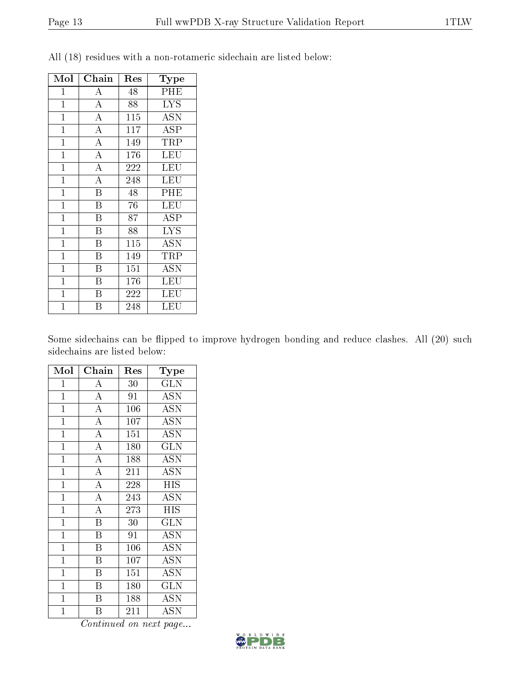| Mol            | Chain                   | Res | Type                      |
|----------------|-------------------------|-----|---------------------------|
| $\mathbf 1$    | $\bf{A}$                | 48  | PHE                       |
| $\mathbf{1}$   | $\overline{A}$          | 88  | <b>LYS</b>                |
| $\mathbf{1}$   | $\overline{\rm A}$      | 115 | $\overline{\mathrm{ASN}}$ |
| $\mathbf{1}$   | $\overline{\rm A}$      | 117 | ASP                       |
| $\mathbf{1}$   | $\overline{\rm A}$      | 149 | TRP                       |
| $\mathbf{1}$   | $\overline{\rm A}$      | 176 | LEU                       |
| $\mathbf{1}$   | $\overline{\rm A}$      | 222 | LEU                       |
| $\mathbf{1}$   | $\overline{\rm A}$      | 248 | LEU                       |
| $\mathbf 1$    | $\overline{\mathrm{B}}$ | 48  | PHE                       |
| $\mathbf{1}$   | $\overline{\mathrm{B}}$ | 76  | LEU                       |
| $\mathbf{1}$   | $\overline{\mathrm{B}}$ | 87  | ASP                       |
| $\mathbf{1}$   | $\overline{\mathrm{B}}$ | 88  | <b>LYS</b>                |
| $\mathbf{1}$   | $\overline{\mathrm{B}}$ | 115 | <b>ASN</b>                |
| $\mathbf{1}$   | $\overline{\mathrm{B}}$ | 149 | TRP                       |
| $\mathbf{1}$   | $\overline{\mathrm{B}}$ | 151 | <b>ASN</b>                |
| $\mathbf{1}$   | B                       | 176 | LEU                       |
| $\mathbf{1}$   | B                       | 222 | LEU                       |
| $\overline{1}$ | В                       | 248 | LEU                       |

All (18) residues with a non-rotameric sidechain are listed below:

Some sidechains can be flipped to improve hydrogen bonding and reduce clashes. All (20) such sidechains are listed below:

| Mol            | Chain                   | Res | Type                      |
|----------------|-------------------------|-----|---------------------------|
| $\mathbf{1}$   | А                       | 30  | <b>GLN</b>                |
| $\mathbf{1}$   | $\overline{A}$          | 91  | <b>ASN</b>                |
| $\mathbf{1}$   | $\overline{\rm A}$      | 106 | <b>ASN</b>                |
| $\mathbf{1}$   | $\overline{A}$          | 107 | <b>ASN</b>                |
| $\mathbf{1}$   | $\overline{\rm A}$      | 151 | <b>ASN</b>                |
| $\overline{1}$ | $\overline{\rm A}$      | 180 | $\overline{\text{GLN}}$   |
| $\overline{1}$ | $\overline{A}$          | 188 | <b>ASN</b>                |
| $\mathbf{1}$   | $\overline{\rm A}$      | 211 | <b>ASN</b>                |
| $\overline{1}$ | $\overline{A}$          | 228 | <b>HIS</b>                |
| $\mathbf{1}$   | $\overline{\rm A}$      | 243 | <b>ASN</b>                |
| $\mathbf 1$    | $\overline{\rm A}$      | 273 | <b>HIS</b>                |
| $\mathbf 1$    | B                       | 30  | <b>GLN</b>                |
| $\mathbf{1}$   | $\overline{\mathrm{B}}$ | 91  | <b>ASN</b>                |
| $\overline{1}$ | $\overline{\mathrm{B}}$ | 106 | <b>ASN</b>                |
| $\mathbf{1}$   | $\boldsymbol{B}$        | 107 | <b>ASN</b>                |
| $\mathbf 1$    | $\overline{\mathrm{B}}$ | 151 | $\overline{\mathrm{ASN}}$ |
| $\mathbf 1$    | B                       | 180 | GLN                       |
| $\mathbf 1$    | Β                       | 188 | <b>ASN</b>                |
| $\mathbf 1$    | Β                       | 211 | ASN                       |

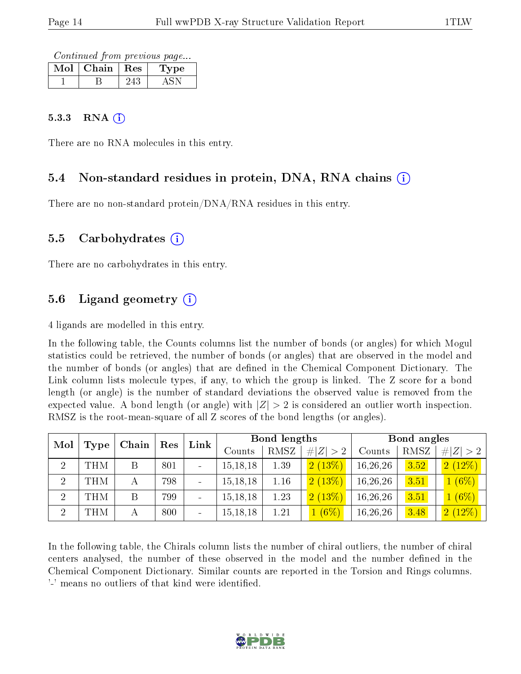Continued from previous page...

| Chain | Res | ype |
|-------|-----|-----|
|       |     |     |

#### $5.3.3$  RNA  $(i)$

There are no RNA molecules in this entry.

#### 5.4 Non-standard residues in protein, DNA, RNA chains (i)

There are no non-standard protein/DNA/RNA residues in this entry.

#### 5.5 Carbohydrates (i)

There are no carbohydrates in this entry.

### 5.6 Ligand geometry  $(i)$

4 ligands are modelled in this entry.

In the following table, the Counts columns list the number of bonds (or angles) for which Mogul statistics could be retrieved, the number of bonds (or angles) that are observed in the model and the number of bonds (or angles) that are defined in the Chemical Component Dictionary. The Link column lists molecule types, if any, to which the group is linked. The Z score for a bond length (or angle) is the number of standard deviations the observed value is removed from the expected value. A bond length (or angle) with  $|Z| > 2$  is considered an outlier worth inspection. RMSZ is the root-mean-square of all Z scores of the bond lengths (or angles).

| Mol            |               | Res |     | Link   | Bond lengths |             |           | Bond angles |                 |          |
|----------------|---------------|-----|-----|--------|--------------|-------------|-----------|-------------|-----------------|----------|
|                | Chain<br>Type |     |     | Counts | RMSZ         | # $ Z  > 2$ | Counts    | RMSZ        | $ Z >2$  <br>#I |          |
| $\overline{2}$ | THM           |     | 801 |        | 15, 18, 18   | 1.39        | 2(13%)    | 16,26,26    | 3.52            | 2(12%)   |
| $\overline{2}$ | THM           |     | 798 |        | 15, 18, 18   | 1.16        | $2(13\%)$ | 16,26,26    | 3.51            | $1(6\%)$ |
| $\overline{2}$ | THM           | B   | 799 |        | 15, 18, 18   | 1.23        | 2(13%)    | 16,26,26    | 3.51            | $1(6\%)$ |
| 2              | THM           | А   | 800 |        | 15, 18, 18   | 1.21        | $1(6\%)$  | 16,26,26    | 3.48            | 2(12%)   |

In the following table, the Chirals column lists the number of chiral outliers, the number of chiral centers analysed, the number of these observed in the model and the number defined in the Chemical Component Dictionary. Similar counts are reported in the Torsion and Rings columns. '-' means no outliers of that kind were identified.

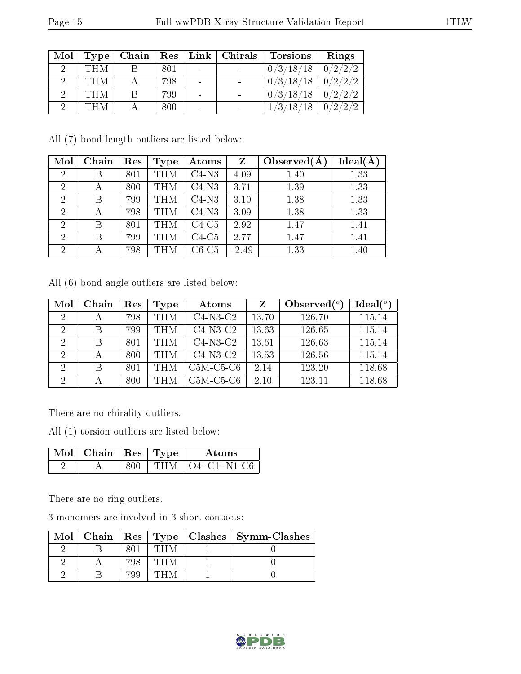| Mol | Type       | Chain |     | $\mid$ Res $\mid$ Link $\mid$ Chirals | <b>Torsions</b> | Rings   |
|-----|------------|-------|-----|---------------------------------------|-----------------|---------|
|     | <b>THM</b> | В     | 801 |                                       | 0/3/18/18       | 0/2/2/2 |
|     | <b>THM</b> |       | 798 |                                       | 0/3/18/18       | 0/2/2/2 |
|     | <b>THM</b> |       | 799 |                                       | 0/3/18/18       | 0/2/2/2 |
|     | THM        |       | 800 |                                       | 1/3/18/18       | 0/2/2/2 |

All (7) bond length outliers are listed below:

| Mol            | Chain | Res | Type  | Atoms   | Z       | Observed $(A)$ | $Ideal(\AA)$ |
|----------------|-------|-----|-------|---------|---------|----------------|--------------|
| $\overline{2}$ | В     | 801 | THM   | $C4-N3$ | 4.09    | 1.40           | 1.33         |
| $\overline{2}$ | А     | 800 | THM   | $C4-N3$ | 3.71    | 1.39           | 1.33         |
| $\overline{2}$ | В     | 799 | THM   | $C4-N3$ | 3.10    | 1.38           | 1.33         |
| $\overline{2}$ | А     | 798 | I'H M | $C4-N3$ | 3.09    | 1.38           | 1.33         |
| $\overline{2}$ | В     | 801 | THM   | $C4-C5$ | 2.92    | 1.47           | 1.41         |
| $\overline{2}$ | В     | 799 | I`H M | $C4-C5$ | 2.77    | 1.47           | 1.41         |
| $\overline{2}$ | А     | 798 | THM   | $C6-C5$ | $-2.49$ | 1.33           | 1.40         |

All (6) bond angle outliers are listed below:

| Mol           | Chain | Res | Type       | Atoms       | Z     | Observed $(°)$ | Ideal(°) |
|---------------|-------|-----|------------|-------------|-------|----------------|----------|
| 2             | А     | 798 | <b>THM</b> | $C4-N3-C2$  | 13.70 | 126.70         | 115.14   |
| 2             | В     | 799 | <b>THM</b> | $C4-N3-C2$  | 13.63 | 126.65         | 115.14   |
| 2             | В     | 801 | <b>THM</b> | $C4-N3-C2$  | 13.61 | 126.63         | 115.14   |
| 2             |       | 800 | <b>THM</b> | $C4-N3-C2$  | 13.53 | 126.56         | 115.14   |
| 2             | В     | 801 | <b>THM</b> | $C5M-C5-C6$ | 2.14  | 123.20         | 118.68   |
| $\mathcal{D}$ |       | 800 | <b>THM</b> | $C5M-C5-C6$ | 2.10  | 123.11         | 118.68   |

There are no chirality outliers.

All (1) torsion outliers are listed below:

| Mol . | Chain   Res   Type |       | Atoms             |
|-------|--------------------|-------|-------------------|
|       |                    | 'TH M | ' O4'-C1'-N1-C6 - |

There are no ring outliers.

3 monomers are involved in 3 short contacts:

| Mol |     |  | $\vert$ Chain $\vert$ Res $\vert$ Type $\vert$ Clashes $\vert$ Symm-Clashes |
|-----|-----|--|-----------------------------------------------------------------------------|
|     |     |  |                                                                             |
|     | 708 |  |                                                                             |
|     | 799 |  |                                                                             |

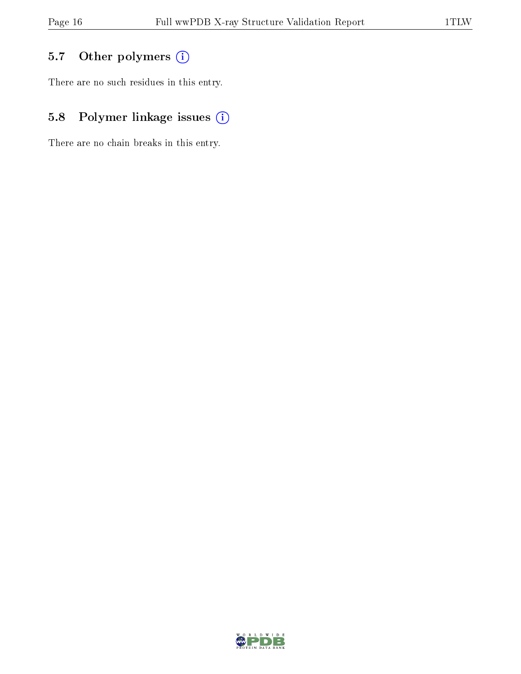## 5.7 [O](https://www.wwpdb.org/validation/2017/XrayValidationReportHelp#nonstandard_residues_and_ligands)ther polymers (i)

There are no such residues in this entry.

## 5.8 Polymer linkage issues (i)

There are no chain breaks in this entry.

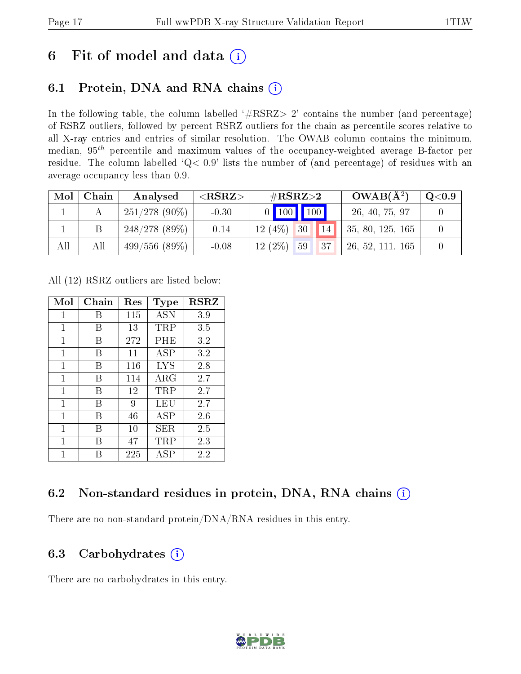# 6 Fit of model and data  $(i)$

## 6.1 Protein, DNA and RNA chains  $(i)$

In the following table, the column labelled  $#RSRZ> 2'$  contains the number (and percentage) of RSRZ outliers, followed by percent RSRZ outliers for the chain as percentile scores relative to all X-ray entries and entries of similar resolution. The OWAB column contains the minimum, median,  $95<sup>th</sup>$  percentile and maximum values of the occupancy-weighted average B-factor per residue. The column labelled ' $Q< 0.9$ ' lists the number of (and percentage) of residues with an average occupancy less than 0.9.

| Mol | Chain | Analysed         | ${ <\hspace{-1.5pt}{\mathrm{RSRZ}} \hspace{-1.5pt}>}$ | $\#\text{RSRZ}\text{>2}$ | $OWAB(A^2)$      | $\rm Q\textcolor{black}{<}0.9$ |
|-----|-------|------------------|-------------------------------------------------------|--------------------------|------------------|--------------------------------|
|     |       | $251/278$ (90\%) | $-0.30$                                               | 0   100   100            | 26, 40, 75, 97   |                                |
|     |       | 248/278(89%)     | 0.14                                                  | 12(4%)<br>14<br>30       | 35, 80, 125, 165 |                                |
| All | All   | 499/556(89%)     | $-0.08$                                               | $12(2\%)$<br>59<br> 37   | 26, 52, 111, 165 |                                |

All (12) RSRZ outliers are listed below:

| Mol          | Chain | $\operatorname{Res}% \left( \mathcal{N}\right) \equiv\operatorname{Res}(\mathcal{N}_{0},\mathcal{N}_{0})$ | Type                 | <b>RSRZ</b> |
|--------------|-------|-----------------------------------------------------------------------------------------------------------|----------------------|-------------|
| 1            | В     | 115                                                                                                       | <b>ASN</b>           | 3.9         |
| 1            | В     | 13                                                                                                        | $\rm TRP$            | 3.5         |
| 1            | В     | 272                                                                                                       | $\rm PHE$            | 3.2         |
| 1            | В     | 11                                                                                                        | ASP                  | 3.2         |
| $\mathbf{1}$ | В     | 116                                                                                                       | LYS                  | 2.8         |
| 1            | В     | 114                                                                                                       | ARG                  | 2.7         |
| 1            | В     | 12                                                                                                        | TRP                  | 2.7         |
| 1            | В     | 9                                                                                                         | LEU                  | 2.7         |
| 1            | В     | 46                                                                                                        | ASP                  | 2.6         |
| 1            | В     | 10                                                                                                        | SER.                 | 2.5         |
| 1            | В     | 47                                                                                                        | $\operatorname{TRP}$ | 2.3         |
| 1            | R     | 225                                                                                                       | ASP                  | 2.2         |

### 6.2 Non-standard residues in protein, DNA, RNA chains  $(i)$

There are no non-standard protein/DNA/RNA residues in this entry.

### 6.3 Carbohydrates  $(i)$

There are no carbohydrates in this entry.